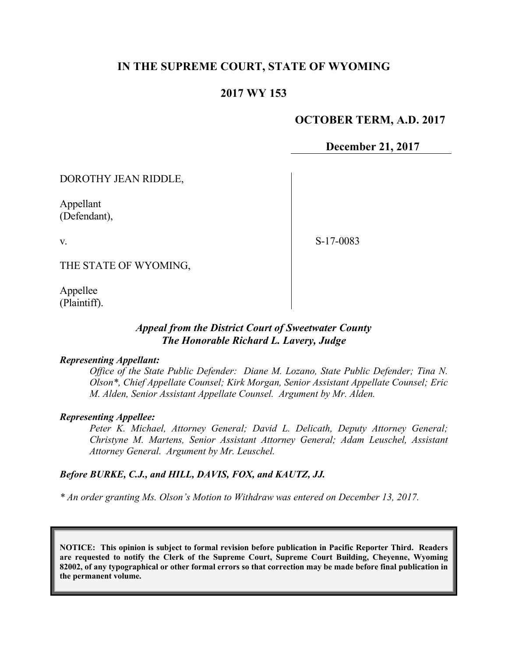# **IN THE SUPREME COURT, STATE OF WYOMING**

# **2017 WY 153**

## **OCTOBER TERM, A.D. 2017**

**December 21, 2017**

DOROTHY JEAN RIDDLE,

Appellant (Defendant),

v.

S-17-0083

THE STATE OF WYOMING,

Appellee (Plaintiff).

## *Appeal from the District Court of Sweetwater County The Honorable Richard L. Lavery, Judge*

#### *Representing Appellant:*

*Office of the State Public Defender: Diane M. Lozano, State Public Defender; Tina N. Olson\*, Chief Appellate Counsel; Kirk Morgan, Senior Assistant Appellate Counsel; Eric M. Alden, Senior Assistant Appellate Counsel. Argument by Mr. Alden.*

#### *Representing Appellee:*

*Peter K. Michael, Attorney General; David L. Delicath, Deputy Attorney General; Christyne M. Martens, Senior Assistant Attorney General; Adam Leuschel, Assistant Attorney General. Argument by Mr. Leuschel.*

#### *Before BURKE, C.J., and HILL, DAVIS, FOX, and KAUTZ, JJ.*

*\* An order granting Ms. Olson's Motion to Withdraw was entered on December 13, 2017.* 

**NOTICE: This opinion is subject to formal revision before publication in Pacific Reporter Third. Readers are requested to notify the Clerk of the Supreme Court, Supreme Court Building, Cheyenne, Wyoming 82002, of any typographical or other formal errors so that correction may be made before final publication in the permanent volume.**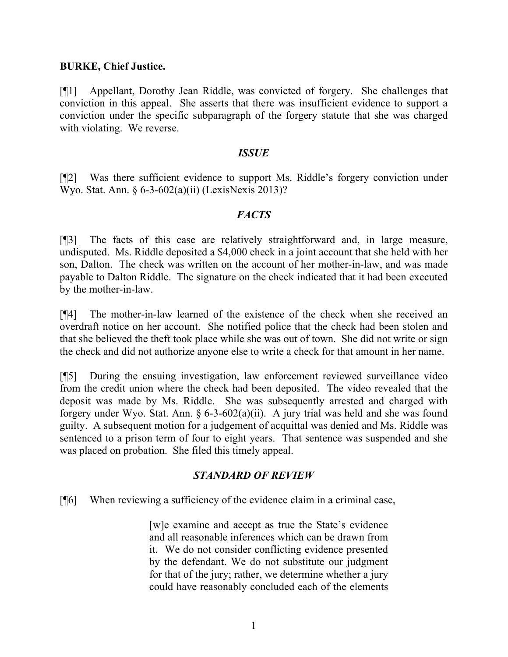### **BURKE, Chief Justice.**

[¶1] Appellant, Dorothy Jean Riddle, was convicted of forgery. She challenges that conviction in this appeal. She asserts that there was insufficient evidence to support a conviction under the specific subparagraph of the forgery statute that she was charged with violating. We reverse.

#### *ISSUE*

[¶2] Was there sufficient evidence to support Ms. Riddle's forgery conviction under Wyo. Stat. Ann. § 6-3-602(a)(ii) (LexisNexis 2013)?

## *FACTS*

[¶3] The facts of this case are relatively straightforward and, in large measure, undisputed. Ms. Riddle deposited a \$4,000 check in a joint account that she held with her son, Dalton. The check was written on the account of her mother-in-law, and was made payable to Dalton Riddle. The signature on the check indicated that it had been executed by the mother-in-law.

[¶4] The mother-in-law learned of the existence of the check when she received an overdraft notice on her account. She notified police that the check had been stolen and that she believed the theft took place while she was out of town. She did not write or sign the check and did not authorize anyone else to write a check for that amount in her name.

[¶5] During the ensuing investigation, law enforcement reviewed surveillance video from the credit union where the check had been deposited. The video revealed that the deposit was made by Ms. Riddle. She was subsequently arrested and charged with forgery under Wyo. Stat. Ann.  $\S 6-3-602(a)(ii)$ . A jury trial was held and she was found guilty. A subsequent motion for a judgement of acquittal was denied and Ms. Riddle was sentenced to a prison term of four to eight years. That sentence was suspended and she was placed on probation. She filed this timely appeal.

# *STANDARD OF REVIEW*

[¶6] When reviewing a sufficiency of the evidence claim in a criminal case,

[w]e examine and accept as true the State's evidence and all reasonable inferences which can be drawn from it. We do not consider conflicting evidence presented by the defendant. We do not substitute our judgment for that of the jury; rather, we determine whether a jury could have reasonably concluded each of the elements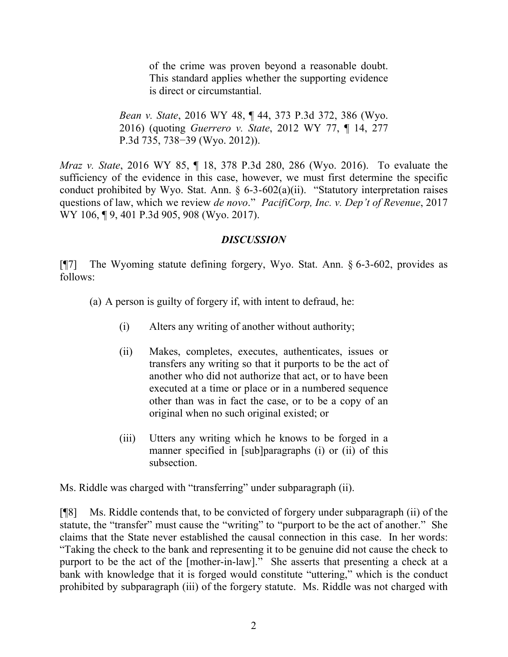of the crime was proven beyond a reasonable doubt. This standard applies whether the supporting evidence is direct or circumstantial.

*Bean v. State*, 2016 WY 48, ¶ 44, 373 P.3d 372, 386 (Wyo. 2016) (quoting *Guerrero v. State*, 2012 WY 77, ¶ 14, 277 P.3d 735, 738−39 (Wyo. 2012)).

*Mraz v. State*, 2016 WY 85, ¶ 18, 378 P.3d 280, 286 (Wyo. 2016). To evaluate the sufficiency of the evidence in this case, however, we must first determine the specific conduct prohibited by Wyo. Stat. Ann. § 6-3-602(a)(ii). "Statutory interpretation raises questions of law, which we review *de novo*." *PacifiCorp, Inc. v. Dep't of Revenue*, 2017 WY 106, 19, 401 P.3d 905, 908 (Wyo. 2017).

## *DISCUSSION*

[¶7] The Wyoming statute defining forgery, Wyo. Stat. Ann. § 6-3-602, provides as follows:

(a) A person is guilty of forgery if, with intent to defraud, he:

- (i) Alters any writing of another without authority;
- (ii) Makes, completes, executes, authenticates, issues or transfers any writing so that it purports to be the act of another who did not authorize that act, or to have been executed at a time or place or in a numbered sequence other than was in fact the case, or to be a copy of an original when no such original existed; or
- (iii) Utters any writing which he knows to be forged in a manner specified in [sub]paragraphs (i) or (ii) of this subsection.

Ms. Riddle was charged with "transferring" under subparagraph (ii).

[¶8] Ms. Riddle contends that, to be convicted of forgery under subparagraph (ii) of the statute, the "transfer" must cause the "writing" to "purport to be the act of another." She claims that the State never established the causal connection in this case. In her words: "Taking the check to the bank and representing it to be genuine did not cause the check to purport to be the act of the [mother-in-law]." She asserts that presenting a check at a bank with knowledge that it is forged would constitute "uttering," which is the conduct prohibited by subparagraph (iii) of the forgery statute. Ms. Riddle was not charged with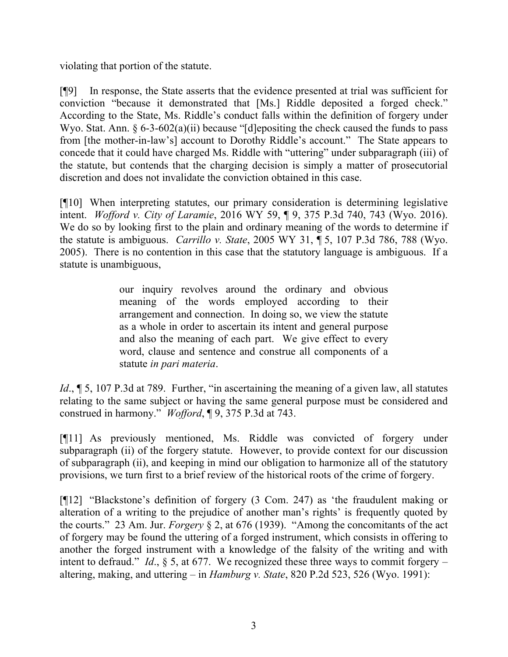violating that portion of the statute.

[¶9] In response, the State asserts that the evidence presented at trial was sufficient for conviction "because it demonstrated that [Ms.] Riddle deposited a forged check." According to the State, Ms. Riddle's conduct falls within the definition of forgery under Wyo. Stat. Ann. § 6-3-602(a)(ii) because "[d]epositing the check caused the funds to pass from [the mother-in-law's] account to Dorothy Riddle's account." The State appears to concede that it could have charged Ms. Riddle with "uttering" under subparagraph (iii) of the statute, but contends that the charging decision is simply a matter of prosecutorial discretion and does not invalidate the conviction obtained in this case.

[¶10] When interpreting statutes, our primary consideration is determining legislative intent. *Wofford v. City of Laramie*, 2016 WY 59, ¶ 9, 375 P.3d 740, 743 (Wyo. 2016). We do so by looking first to the plain and ordinary meaning of the words to determine if the statute is ambiguous. *Carrillo v. State*, 2005 WY 31, ¶ 5, 107 P.3d 786, 788 (Wyo. 2005). There is no contention in this case that the statutory language is ambiguous. If a statute is unambiguous,

> our inquiry revolves around the ordinary and obvious meaning of the words employed according to their arrangement and connection. In doing so, we view the statute as a whole in order to ascertain its intent and general purpose and also the meaning of each part. We give effect to every word, clause and sentence and construe all components of a statute *in pari materia*.

*Id.*,  $\sim$  5, 107 P.3d at 789. Further, "in ascertaining the meaning of a given law, all statutes relating to the same subject or having the same general purpose must be considered and construed in harmony." *Wofford*, ¶ 9, 375 P.3d at 743.

[¶11] As previously mentioned, Ms. Riddle was convicted of forgery under subparagraph (ii) of the forgery statute. However, to provide context for our discussion of subparagraph (ii), and keeping in mind our obligation to harmonize all of the statutory provisions, we turn first to a brief review of the historical roots of the crime of forgery.

[¶12] "Blackstone's definition of forgery (3 Com. 247) as 'the fraudulent making or alteration of a writing to the prejudice of another man's rights' is frequently quoted by the courts." 23 Am. Jur. *Forgery* § 2, at 676 (1939). "Among the concomitants of the act of forgery may be found the uttering of a forged instrument, which consists in offering to another the forged instrument with a knowledge of the falsity of the writing and with intent to defraud." *Id.*,  $\S$  5, at 677. We recognized these three ways to commit forgery – altering, making, and uttering – in *Hamburg v. State*, 820 P.2d 523, 526 (Wyo. 1991):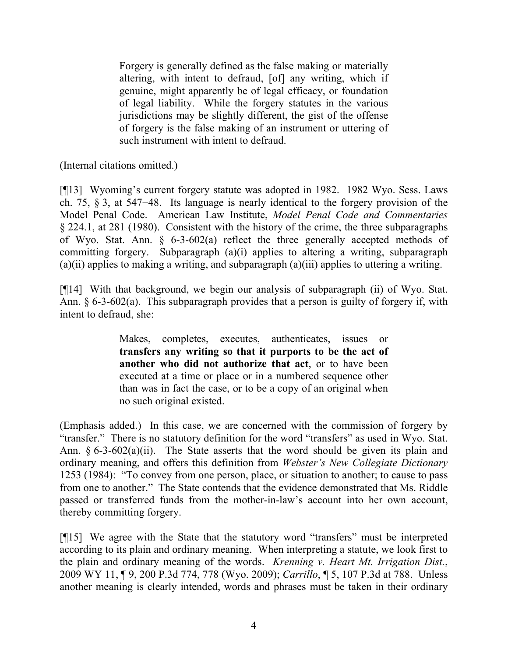Forgery is generally defined as the false making or materially altering, with intent to defraud, [of] any writing, which if genuine, might apparently be of legal efficacy, or foundation of legal liability. While the forgery statutes in the various jurisdictions may be slightly different, the gist of the offense of forgery is the false making of an instrument or uttering of such instrument with intent to defraud.

(Internal citations omitted.)

[¶13] Wyoming's current forgery statute was adopted in 1982. 1982 Wyo. Sess. Laws ch. 75, § 3, at 547−48. Its language is nearly identical to the forgery provision of the Model Penal Code. American Law Institute, *Model Penal Code and Commentaries* § 224.1, at 281 (1980). Consistent with the history of the crime, the three subparagraphs of Wyo. Stat. Ann. § 6-3-602(a) reflect the three generally accepted methods of committing forgery. Subparagraph (a)(i) applies to altering a writing, subparagraph  $(a)(ii)$  applies to making a writing, and subparagraph  $(a)(iii)$  applies to uttering a writing.

[¶14] With that background, we begin our analysis of subparagraph (ii) of Wyo. Stat. Ann.  $\S 6-3-602(a)$ . This subparagraph provides that a person is guilty of forgery if, with intent to defraud, she:

> Makes, completes, executes, authenticates, issues or **transfers any writing so that it purports to be the act of another who did not authorize that act**, or to have been executed at a time or place or in a numbered sequence other than was in fact the case, or to be a copy of an original when no such original existed.

(Emphasis added.) In this case, we are concerned with the commission of forgery by "transfer." There is no statutory definition for the word "transfers" as used in Wyo. Stat. Ann. § 6-3-602(a)(ii). The State asserts that the word should be given its plain and ordinary meaning, and offers this definition from *Webster's New Collegiate Dictionary* 1253 (1984): "To convey from one person, place, or situation to another; to cause to pass from one to another." The State contends that the evidence demonstrated that Ms. Riddle passed or transferred funds from the mother-in-law's account into her own account, thereby committing forgery.

[¶15] We agree with the State that the statutory word "transfers" must be interpreted according to its plain and ordinary meaning. When interpreting a statute, we look first to the plain and ordinary meaning of the words. *Krenning v. Heart Mt. Irrigation Dist.*, 2009 WY 11, ¶ 9, 200 P.3d 774, 778 (Wyo. 2009); *Carrillo*, ¶ 5, 107 P.3d at 788. Unless another meaning is clearly intended, words and phrases must be taken in their ordinary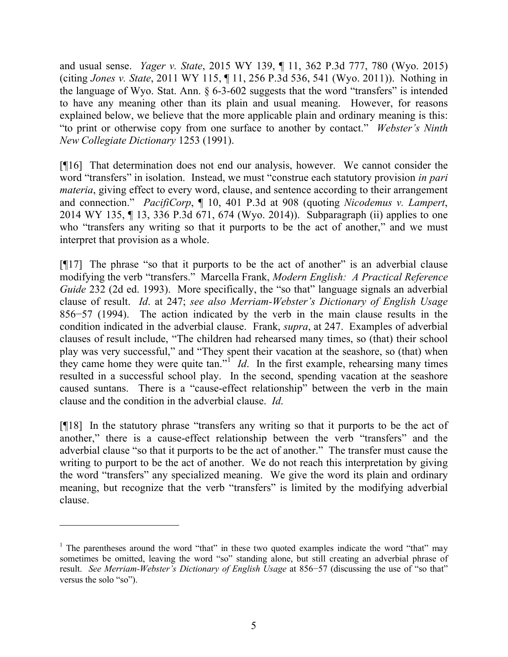and usual sense. *Yager v. State*, 2015 WY 139, ¶ 11, 362 P.3d 777, 780 (Wyo. 2015) (citing *Jones v. State*, 2011 WY 115, ¶ 11, 256 P.3d 536, 541 (Wyo. 2011)). Nothing in the language of Wyo. Stat. Ann. § 6-3-602 suggests that the word "transfers" is intended to have any meaning other than its plain and usual meaning. However, for reasons explained below, we believe that the more applicable plain and ordinary meaning is this: "to print or otherwise copy from one surface to another by contact." *Webster's Ninth New Collegiate Dictionary* 1253 (1991).

[¶16] That determination does not end our analysis, however. We cannot consider the word "transfers" in isolation. Instead, we must "construe each statutory provision *in pari materia*, giving effect to every word, clause, and sentence according to their arrangement and connection." *PacifiCorp*, ¶ 10, 401 P.3d at 908 (quoting *Nicodemus v. Lampert*, 2014 WY 135, ¶ 13, 336 P.3d 671, 674 (Wyo. 2014)). Subparagraph (ii) applies to one who "transfers any writing so that it purports to be the act of another," and we must interpret that provision as a whole.

[¶17] The phrase "so that it purports to be the act of another" is an adverbial clause modifying the verb "transfers." Marcella Frank, *Modern English: A Practical Reference Guide* 232 (2d ed. 1993). More specifically, the "so that" language signals an adverbial clause of result. *Id*. at 247; *see also Merriam-Webster's Dictionary of English Usage* 856−57 (1994). The action indicated by the verb in the main clause results in the condition indicated in the adverbial clause. Frank, *supra*, at 247. Examples of adverbial clauses of result include, "The children had rehearsed many times, so (that) their school play was very successful," and "They spent their vacation at the seashore, so (that) when they came home they were quite  $\tan$ .<sup>" *Id*. In the first example, rehearsing many times</sup> resulted in a successful school play. In the second, spending vacation at the seashore caused suntans. There is a "cause-effect relationship" between the verb in the main clause and the condition in the adverbial clause. *Id*.

[¶18] In the statutory phrase "transfers any writing so that it purports to be the act of another," there is a cause-effect relationship between the verb "transfers" and the adverbial clause "so that it purports to be the act of another." The transfer must cause the writing to purport to be the act of another. We do not reach this interpretation by giving the word "transfers" any specialized meaning. We give the word its plain and ordinary meaning, but recognize that the verb "transfers" is limited by the modifying adverbial clause.

 $\overline{a}$ 

<sup>&</sup>lt;sup>1</sup> The parentheses around the word "that" in these two quoted examples indicate the word "that" may sometimes be omitted, leaving the word "so" standing alone, but still creating an adverbial phrase of result. *See Merriam-Webster's Dictionary of English Usage* at 856−57 (discussing the use of "so that" versus the solo "so").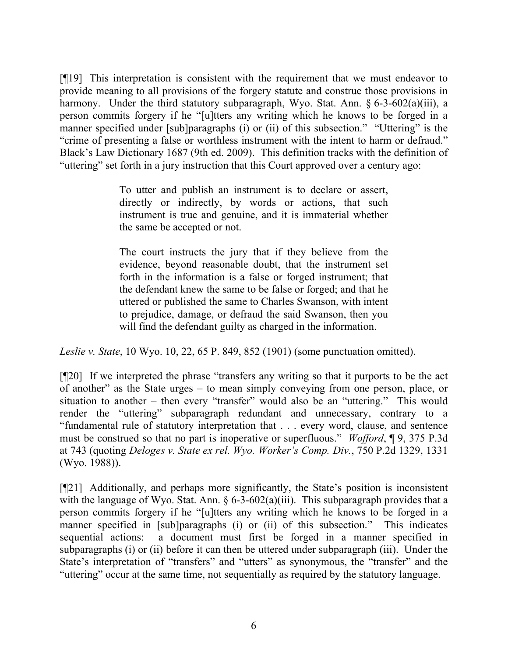[¶19] This interpretation is consistent with the requirement that we must endeavor to provide meaning to all provisions of the forgery statute and construe those provisions in harmony. Under the third statutory subparagraph, Wyo. Stat. Ann. § 6-3-602(a)(iii), a person commits forgery if he "[u]tters any writing which he knows to be forged in a manner specified under [sub]paragraphs (i) or (ii) of this subsection." "Uttering" is the "crime of presenting a false or worthless instrument with the intent to harm or defraud." Black's Law Dictionary 1687 (9th ed. 2009). This definition tracks with the definition of "uttering" set forth in a jury instruction that this Court approved over a century ago:

> To utter and publish an instrument is to declare or assert, directly or indirectly, by words or actions, that such instrument is true and genuine, and it is immaterial whether the same be accepted or not.

> The court instructs the jury that if they believe from the evidence, beyond reasonable doubt, that the instrument set forth in the information is a false or forged instrument; that the defendant knew the same to be false or forged; and that he uttered or published the same to Charles Swanson, with intent to prejudice, damage, or defraud the said Swanson, then you will find the defendant guilty as charged in the information.

*Leslie v. State*, 10 Wyo. 10, 22, 65 P. 849, 852 (1901) (some punctuation omitted).

[¶20] If we interpreted the phrase "transfers any writing so that it purports to be the act of another" as the State urges – to mean simply conveying from one person, place, or situation to another – then every "transfer" would also be an "uttering." This would render the "uttering" subparagraph redundant and unnecessary, contrary to a "fundamental rule of statutory interpretation that . . . every word, clause, and sentence must be construed so that no part is inoperative or superfluous." *Wofford*, ¶ 9, 375 P.3d at 743 (quoting *Deloges v. State ex rel. Wyo. Worker's Comp. Div.*, 750 P.2d 1329, 1331 (Wyo. 1988)).

[¶21] Additionally, and perhaps more significantly, the State's position is inconsistent with the language of Wyo. Stat. Ann.  $\S 6-3-602(a)(iii)$ . This subparagraph provides that a person commits forgery if he "[u]tters any writing which he knows to be forged in a manner specified in [sub]paragraphs (i) or (ii) of this subsection." This indicates sequential actions: a document must first be forged in a manner specified in subparagraphs (i) or (ii) before it can then be uttered under subparagraph (iii). Under the State's interpretation of "transfers" and "utters" as synonymous, the "transfer" and the "uttering" occur at the same time, not sequentially as required by the statutory language.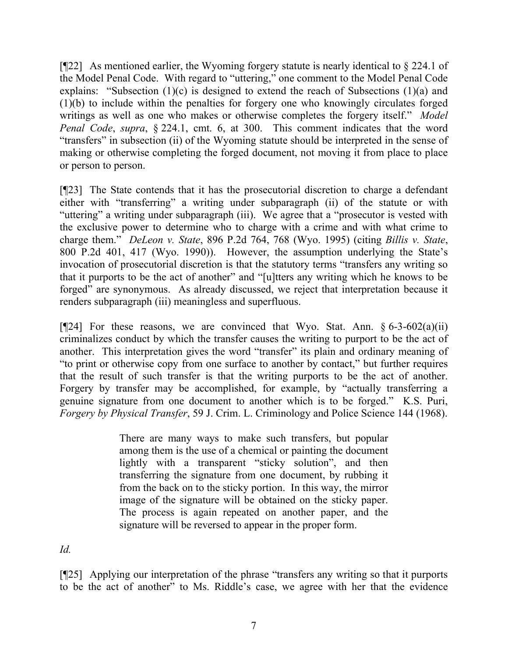[¶22] As mentioned earlier, the Wyoming forgery statute is nearly identical to § 224.1 of the Model Penal Code. With regard to "uttering," one comment to the Model Penal Code explains: "Subsection (1)(c) is designed to extend the reach of Subsections (1)(a) and (1)(b) to include within the penalties for forgery one who knowingly circulates forged writings as well as one who makes or otherwise completes the forgery itself." *Model Penal Code*, *supra*, § 224.1, cmt. 6, at 300. This comment indicates that the word "transfers" in subsection (ii) of the Wyoming statute should be interpreted in the sense of making or otherwise completing the forged document, not moving it from place to place or person to person.

[¶23] The State contends that it has the prosecutorial discretion to charge a defendant either with "transferring" a writing under subparagraph (ii) of the statute or with "uttering" a writing under subparagraph (iii). We agree that a "prosecutor is vested with the exclusive power to determine who to charge with a crime and with what crime to charge them." *DeLeon v. State*, 896 P.2d 764, 768 (Wyo. 1995) (citing *Billis v. State*, 800 P.2d 401, 417 (Wyo. 1990)). However, the assumption underlying the State's invocation of prosecutorial discretion is that the statutory terms "transfers any writing so that it purports to be the act of another" and "[u]tters any writing which he knows to be forged" are synonymous. As already discussed, we reject that interpretation because it renders subparagraph (iii) meaningless and superfluous.

[ $[24]$ ] For these reasons, we are convinced that Wyo. Stat. Ann. § 6-3-602(a)(ii) criminalizes conduct by which the transfer causes the writing to purport to be the act of another. This interpretation gives the word "transfer" its plain and ordinary meaning of "to print or otherwise copy from one surface to another by contact," but further requires that the result of such transfer is that the writing purports to be the act of another. Forgery by transfer may be accomplished, for example, by "actually transferring a genuine signature from one document to another which is to be forged." K.S. Puri, *Forgery by Physical Transfer*, 59 J. Crim. L. Criminology and Police Science 144 (1968).

> There are many ways to make such transfers, but popular among them is the use of a chemical or painting the document lightly with a transparent "sticky solution", and then transferring the signature from one document, by rubbing it from the back on to the sticky portion. In this way, the mirror image of the signature will be obtained on the sticky paper. The process is again repeated on another paper, and the signature will be reversed to appear in the proper form.

*Id.*

[¶25] Applying our interpretation of the phrase "transfers any writing so that it purports to be the act of another" to Ms. Riddle's case, we agree with her that the evidence